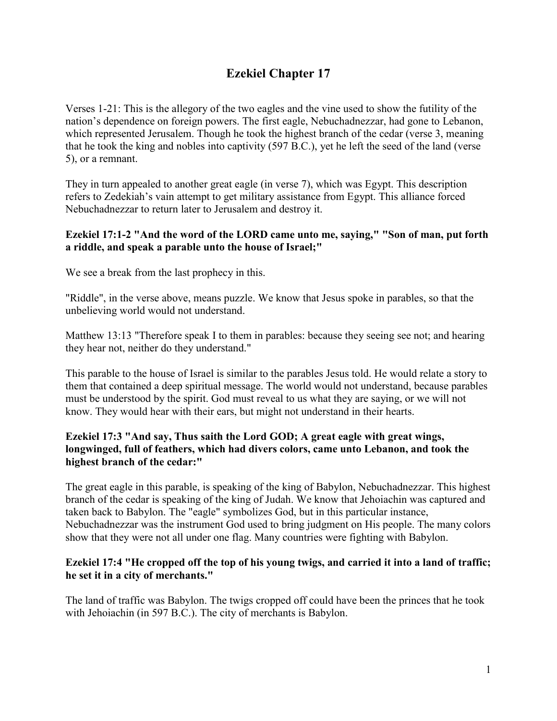# **Ezekiel Chapter 17**

Verses 1-21: This is the allegory of the two eagles and the vine used to show the futility of the nation's dependence on foreign powers. The first eagle, Nebuchadnezzar, had gone to Lebanon, which represented Jerusalem. Though he took the highest branch of the cedar (verse 3, meaning that he took the king and nobles into captivity (597 B.C.), yet he left the seed of the land (verse 5), or a remnant.

They in turn appealed to another great eagle (in verse 7), which was Egypt. This description refers to Zedekiah's vain attempt to get military assistance from Egypt. This alliance forced Nebuchadnezzar to return later to Jerusalem and destroy it.

#### **Ezekiel 17:1-2 "And the word of the LORD came unto me, saying," "Son of man, put forth a riddle, and speak a parable unto the house of Israel;"**

We see a break from the last prophecy in this.

"Riddle", in the verse above, means puzzle. We know that Jesus spoke in parables, so that the unbelieving world would not understand.

Matthew 13:13 "Therefore speak I to them in parables: because they seeing see not; and hearing they hear not, neither do they understand."

This parable to the house of Israel is similar to the parables Jesus told. He would relate a story to them that contained a deep spiritual message. The world would not understand, because parables must be understood by the spirit. God must reveal to us what they are saying, or we will not know. They would hear with their ears, but might not understand in their hearts.

## **Ezekiel 17:3 "And say, Thus saith the Lord GOD; A great eagle with great wings, longwinged, full of feathers, which had divers colors, came unto Lebanon, and took the highest branch of the cedar:"**

The great eagle in this parable, is speaking of the king of Babylon, Nebuchadnezzar. This highest branch of the cedar is speaking of the king of Judah. We know that Jehoiachin was captured and taken back to Babylon. The "eagle" symbolizes God, but in this particular instance, Nebuchadnezzar was the instrument God used to bring judgment on His people. The many colors show that they were not all under one flag. Many countries were fighting with Babylon.

## **Ezekiel 17:4 "He cropped off the top of his young twigs, and carried it into a land of traffic; he set it in a city of merchants."**

The land of traffic was Babylon. The twigs cropped off could have been the princes that he took with Jehoiachin (in 597 B.C.). The city of merchants is Babylon.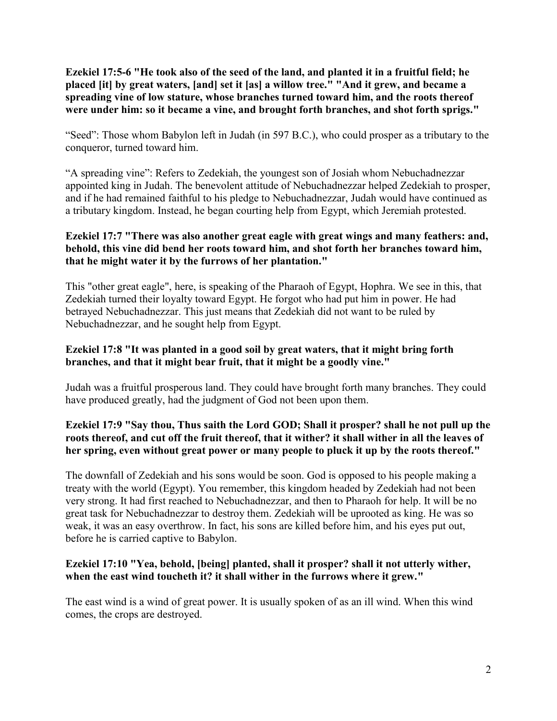**Ezekiel 17:5-6 "He took also of the seed of the land, and planted it in a fruitful field; he placed [it] by great waters, [and] set it [as] a willow tree." "And it grew, and became a spreading vine of low stature, whose branches turned toward him, and the roots thereof were under him: so it became a vine, and brought forth branches, and shot forth sprigs."**

"Seed": Those whom Babylon left in Judah (in 597 B.C.), who could prosper as a tributary to the conqueror, turned toward him.

"A spreading vine": Refers to Zedekiah, the youngest son of Josiah whom Nebuchadnezzar appointed king in Judah. The benevolent attitude of Nebuchadnezzar helped Zedekiah to prosper, and if he had remained faithful to his pledge to Nebuchadnezzar, Judah would have continued as a tributary kingdom. Instead, he began courting help from Egypt, which Jeremiah protested.

# **Ezekiel 17:7 "There was also another great eagle with great wings and many feathers: and, behold, this vine did bend her roots toward him, and shot forth her branches toward him, that he might water it by the furrows of her plantation."**

This "other great eagle", here, is speaking of the Pharaoh of Egypt, Hophra. We see in this, that Zedekiah turned their loyalty toward Egypt. He forgot who had put him in power. He had betrayed Nebuchadnezzar. This just means that Zedekiah did not want to be ruled by Nebuchadnezzar, and he sought help from Egypt.

## **Ezekiel 17:8 "It was planted in a good soil by great waters, that it might bring forth branches, and that it might bear fruit, that it might be a goodly vine."**

Judah was a fruitful prosperous land. They could have brought forth many branches. They could have produced greatly, had the judgment of God not been upon them.

# **Ezekiel 17:9 "Say thou, Thus saith the Lord GOD; Shall it prosper? shall he not pull up the roots thereof, and cut off the fruit thereof, that it wither? it shall wither in all the leaves of her spring, even without great power or many people to pluck it up by the roots thereof."**

The downfall of Zedekiah and his sons would be soon. God is opposed to his people making a treaty with the world (Egypt). You remember, this kingdom headed by Zedekiah had not been very strong. It had first reached to Nebuchadnezzar, and then to Pharaoh for help. It will be no great task for Nebuchadnezzar to destroy them. Zedekiah will be uprooted as king. He was so weak, it was an easy overthrow. In fact, his sons are killed before him, and his eyes put out, before he is carried captive to Babylon.

## **Ezekiel 17:10 "Yea, behold, [being] planted, shall it prosper? shall it not utterly wither, when the east wind toucheth it? it shall wither in the furrows where it grew."**

The east wind is a wind of great power. It is usually spoken of as an ill wind. When this wind comes, the crops are destroyed.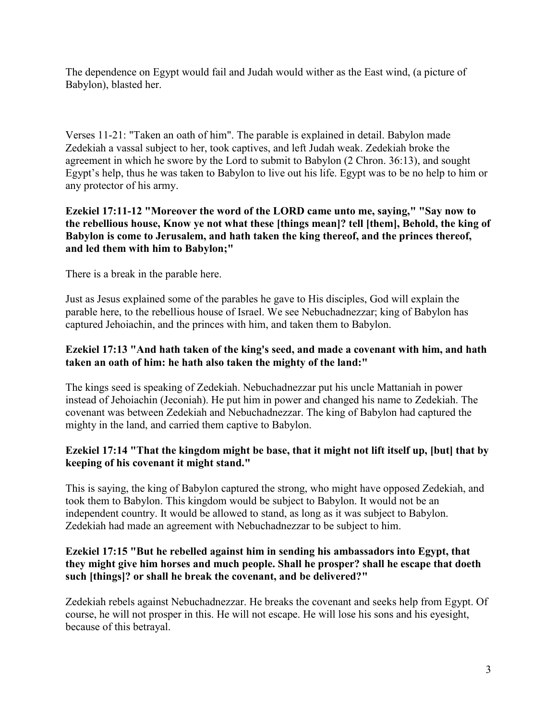The dependence on Egypt would fail and Judah would wither as the East wind, (a picture of Babylon), blasted her.

Verses 11-21: "Taken an oath of him". The parable is explained in detail. Babylon made Zedekiah a vassal subject to her, took captives, and left Judah weak. Zedekiah broke the agreement in which he swore by the Lord to submit to Babylon (2 Chron. 36:13), and sought Egypt's help, thus he was taken to Babylon to live out his life. Egypt was to be no help to him or any protector of his army.

#### **Ezekiel 17:11-12 "Moreover the word of the LORD came unto me, saying," "Say now to the rebellious house, Know ye not what these [things mean]? tell [them], Behold, the king of Babylon is come to Jerusalem, and hath taken the king thereof, and the princes thereof, and led them with him to Babylon;"**

There is a break in the parable here.

Just as Jesus explained some of the parables he gave to His disciples, God will explain the parable here, to the rebellious house of Israel. We see Nebuchadnezzar; king of Babylon has captured Jehoiachin, and the princes with him, and taken them to Babylon.

## **Ezekiel 17:13 "And hath taken of the king's seed, and made a covenant with him, and hath taken an oath of him: he hath also taken the mighty of the land:"**

The kings seed is speaking of Zedekiah. Nebuchadnezzar put his uncle Mattaniah in power instead of Jehoiachin (Jeconiah). He put him in power and changed his name to Zedekiah. The covenant was between Zedekiah and Nebuchadnezzar. The king of Babylon had captured the mighty in the land, and carried them captive to Babylon.

## **Ezekiel 17:14 "That the kingdom might be base, that it might not lift itself up, [but] that by keeping of his covenant it might stand."**

This is saying, the king of Babylon captured the strong, who might have opposed Zedekiah, and took them to Babylon. This kingdom would be subject to Babylon. It would not be an independent country. It would be allowed to stand, as long as it was subject to Babylon. Zedekiah had made an agreement with Nebuchadnezzar to be subject to him.

## **Ezekiel 17:15 "But he rebelled against him in sending his ambassadors into Egypt, that they might give him horses and much people. Shall he prosper? shall he escape that doeth such [things]? or shall he break the covenant, and be delivered?"**

Zedekiah rebels against Nebuchadnezzar. He breaks the covenant and seeks help from Egypt. Of course, he will not prosper in this. He will not escape. He will lose his sons and his eyesight, because of this betrayal.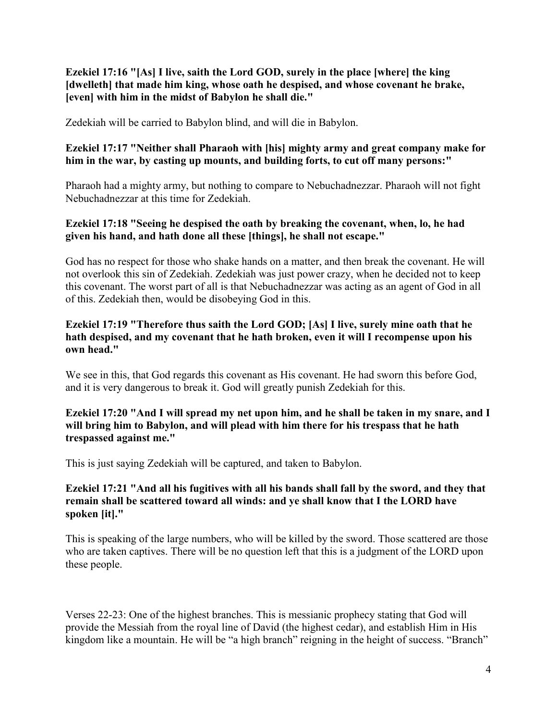**Ezekiel 17:16 "[As] I live, saith the Lord GOD, surely in the place [where] the king [dwelleth] that made him king, whose oath he despised, and whose covenant he brake, [even] with him in the midst of Babylon he shall die."**

Zedekiah will be carried to Babylon blind, and will die in Babylon.

## **Ezekiel 17:17 "Neither shall Pharaoh with [his] mighty army and great company make for him in the war, by casting up mounts, and building forts, to cut off many persons:"**

Pharaoh had a mighty army, but nothing to compare to Nebuchadnezzar. Pharaoh will not fight Nebuchadnezzar at this time for Zedekiah.

#### **Ezekiel 17:18 "Seeing he despised the oath by breaking the covenant, when, lo, he had given his hand, and hath done all these [things], he shall not escape."**

God has no respect for those who shake hands on a matter, and then break the covenant. He will not overlook this sin of Zedekiah. Zedekiah was just power crazy, when he decided not to keep this covenant. The worst part of all is that Nebuchadnezzar was acting as an agent of God in all of this. Zedekiah then, would be disobeying God in this.

#### **Ezekiel 17:19 "Therefore thus saith the Lord GOD; [As] I live, surely mine oath that he hath despised, and my covenant that he hath broken, even it will I recompense upon his own head."**

We see in this, that God regards this covenant as His covenant. He had sworn this before God, and it is very dangerous to break it. God will greatly punish Zedekiah for this.

## **Ezekiel 17:20 "And I will spread my net upon him, and he shall be taken in my snare, and I will bring him to Babylon, and will plead with him there for his trespass that he hath trespassed against me."**

This is just saying Zedekiah will be captured, and taken to Babylon.

## **Ezekiel 17:21 "And all his fugitives with all his bands shall fall by the sword, and they that remain shall be scattered toward all winds: and ye shall know that I the LORD have spoken [it]."**

This is speaking of the large numbers, who will be killed by the sword. Those scattered are those who are taken captives. There will be no question left that this is a judgment of the LORD upon these people.

Verses 22-23: One of the highest branches. This is messianic prophecy stating that God will provide the Messiah from the royal line of David (the highest cedar), and establish Him in His kingdom like a mountain. He will be "a high branch" reigning in the height of success. "Branch"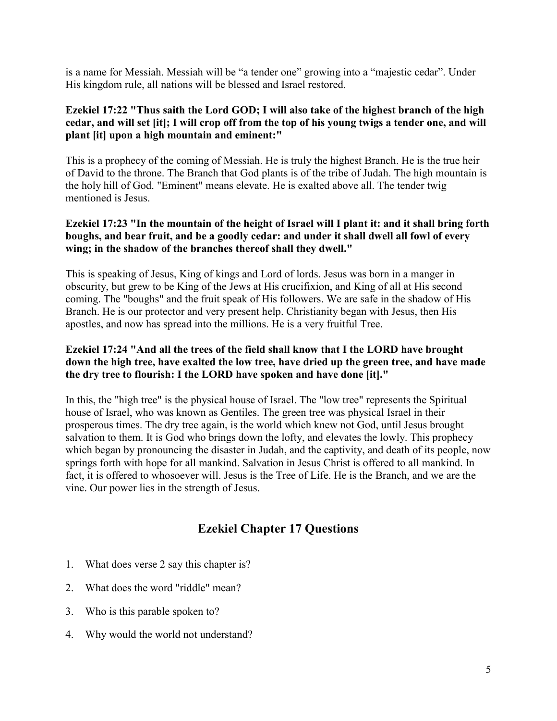is a name for Messiah. Messiah will be "a tender one" growing into a "majestic cedar". Under His kingdom rule, all nations will be blessed and Israel restored.

# **Ezekiel 17:22 "Thus saith the Lord GOD; I will also take of the highest branch of the high cedar, and will set [it]; I will crop off from the top of his young twigs a tender one, and will plant [it] upon a high mountain and eminent:"**

This is a prophecy of the coming of Messiah. He is truly the highest Branch. He is the true heir of David to the throne. The Branch that God plants is of the tribe of Judah. The high mountain is the holy hill of God. "Eminent" means elevate. He is exalted above all. The tender twig mentioned is Jesus.

### **Ezekiel 17:23 "In the mountain of the height of Israel will I plant it: and it shall bring forth boughs, and bear fruit, and be a goodly cedar: and under it shall dwell all fowl of every wing; in the shadow of the branches thereof shall they dwell."**

This is speaking of Jesus, King of kings and Lord of lords. Jesus was born in a manger in obscurity, but grew to be King of the Jews at His crucifixion, and King of all at His second coming. The "boughs" and the fruit speak of His followers. We are safe in the shadow of His Branch. He is our protector and very present help. Christianity began with Jesus, then His apostles, and now has spread into the millions. He is a very fruitful Tree.

# **Ezekiel 17:24 "And all the trees of the field shall know that I the LORD have brought down the high tree, have exalted the low tree, have dried up the green tree, and have made the dry tree to flourish: I the LORD have spoken and have done [it]."**

In this, the "high tree" is the physical house of Israel. The "low tree" represents the Spiritual house of Israel, who was known as Gentiles. The green tree was physical Israel in their prosperous times. The dry tree again, is the world which knew not God, until Jesus brought salvation to them. It is God who brings down the lofty, and elevates the lowly. This prophecy which began by pronouncing the disaster in Judah, and the captivity, and death of its people, now springs forth with hope for all mankind. Salvation in Jesus Christ is offered to all mankind. In fact, it is offered to whosoever will. Jesus is the Tree of Life. He is the Branch, and we are the vine. Our power lies in the strength of Jesus.

# **Ezekiel Chapter 17 Questions**

- 1. What does verse 2 say this chapter is?
- 2. What does the word "riddle" mean?
- 3. Who is this parable spoken to?
- 4. Why would the world not understand?